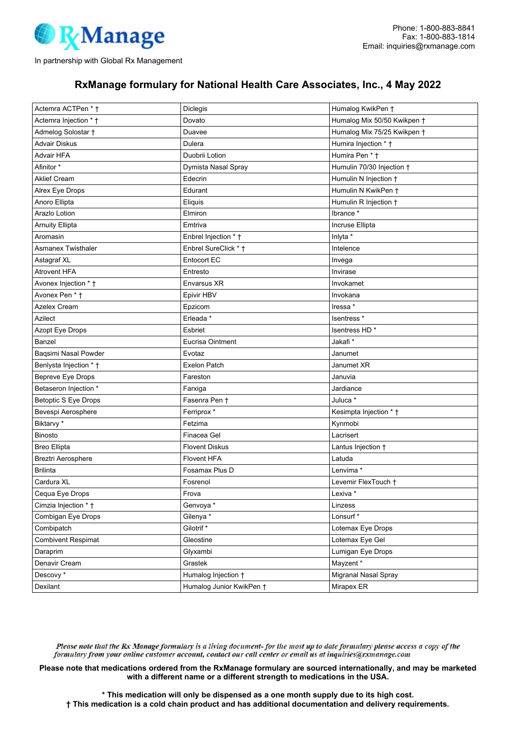

## RxManage formulary for National Health Care Associates, Inc., 4 May 2022

| Actemra ACTPen * †          | Diclegis                 | Humalog KwikPen +           |
|-----------------------------|--------------------------|-----------------------------|
| Actemra Injection * †       | Dovato                   | Humalog Mix 50/50 Kwikpen † |
| Admelog Solostar +          | Duavee                   | Humalog Mix 75/25 Kwikpen + |
| <b>Advair Diskus</b>        | Dulera                   | Humira Injection * †        |
| <b>Advair HFA</b>           | Duobrii Lotion           | Humira Pen * †              |
| Afinitor <sup>*</sup>       | Dymista Nasal Spray      | Humulin 70/30 Injection +   |
| <b>Aklief Cream</b>         | Edecrin                  | Humulin N Injection +       |
| Alrex Eye Drops             | Edurant                  | Humulin N KwikPen +         |
| Anoro Ellipta               | Eliquis                  | Humulin R Injection +       |
| Arazlo Lotion               | Elmiron                  | Ibrance *                   |
| <b>Arnuity Ellipta</b>      | Emtriva                  | Incruse Ellipta             |
| Aromasin                    | Enbrel Injection * +     | Inlyta *                    |
| <b>Asmanex Twisthaler</b>   | Enbrel SureClick * †     | Intelence                   |
| Astagraf XL                 | <b>Entocort EC</b>       | Invega                      |
| <b>Atrovent HFA</b>         | Entresto                 | Invirase                    |
| Avonex Injection * +        | Envarsus XR              | Invokamet                   |
| Avonex Pen * †              | Epivir HBV               | Invokana                    |
| Azelex Cream                | Epzicom                  | Iressa *                    |
| Azilect                     | Erleada *                | Isentress <sup>*</sup>      |
| Azopt Eye Drops             | Esbriet                  | Isentress HD*               |
| Banzel                      | Eucrisa Ointment         | Jakafi*                     |
| Baqsimi Nasal Powder        | Evotaz                   | Janumet                     |
| Benlysta Injection * †      | <b>Exelon Patch</b>      | Janumet XR                  |
| Bepreve Eye Drops           | Fareston                 | Januvia                     |
| Betaseron Injection *       | Farxiga                  | Jardiance                   |
| <b>Betoptic S Eye Drops</b> | Fasenra Pen +            | Juluca *                    |
| Bevespi Aerosphere          | Ferriprox *              | Kesimpta Injection * †      |
| Biktarvy *                  | Fetzima                  | Kynmobi                     |
| <b>Binosto</b>              | Finacea Gel              | Lacrisert                   |
| <b>Breo Ellipta</b>         | <b>Flovent Diskus</b>    | Lantus Injection +          |
| Breztri Aerosphere          | <b>Flovent HFA</b>       | Latuda                      |
| <b>Brilinta</b>             | Fosamax Plus D           | Lenvima *                   |
| Cardura XL                  | Fosrenol                 | Levemir FlexTouch +         |
| Cequa Eye Drops             | Frova                    | Lexiva *                    |
| Cimzia Injection * †        | Genvoya *                | Linzess                     |
| Combigan Eye Drops          | Gilenya <sup>*</sup>     | Lonsurf*                    |
| Combipatch                  | Gilotrif <sup>*</sup>    | Lotemax Eye Drops           |
| <b>Combivent Respimat</b>   | Gleostine                | Lotemax Eye Gel             |
| Daraprim                    | Glyxambi                 | Lumigan Eye Drops           |
| Denavir Cream               | Grastek                  | Mayzent *                   |
| Descovy *                   | Humalog Injection +      | Migranal Nasal Spray        |
| Dexilant                    | Humalog Junior KwikPen † | Mirapex ER                  |

Please note that the Rx Manage formulary is a living document-for the most up to date formulary please access a copy of the formulary from your online customer account, contact our call center or email us at inquiries@rxmanage.com

Please note that medications ordered from the RxManage formulary are sourced internationally, and may be marketed with a different name or a different strength to medications in the USA.

\* This medication will only be dispensed as a one month supply due to its high cost. † This medication is a cold chain product and has additional documentation and delivery requirements.